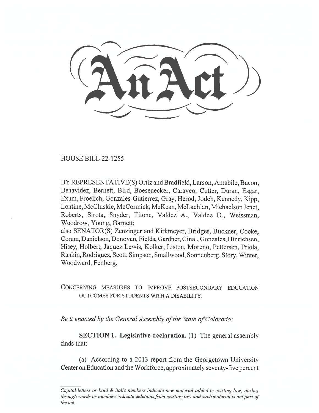HOUSE BILL 22-1255

BY REPRESENTATIVE(S) Ortiz and Bradfield, Larson, Amabile, Bacon, Benavidez, Bernett, Bird, Boesenecker, Caraveo, Cutter, Duran, Esgar, Exum, Froelich, Gonzales-Gutierrez, Gray, Herod, Jodeh, Kennedy, Kipp, Lontine, McCluskie, McCormick, McKean, McLachlan, Michaelson Jenet, Roberts, Sirota, Snyder, Titone, Valdez A., Valdez D., Weissman, Woodrow, Young, Garnett;

also SENATOR(S) Zenzinger and Kirkmeyer, Bridges, Buckner, Cooke, Coram, Danielson, Donovan, Fields, Gardner, Ginal, Gonzales, Hinrichsen, Hisey, Holbert, Jaquez Lewis, Kolker, Liston, Moreno, Pettersen, Priola, Rankin, Rodriguez, Scott, Simpson, Smallwood, Sonnenberg, Story, Winter, Woodward, Fenberg.

CONCERNING MEASURES TO IMPROVE POSTSECONDARY EDUCATION OUTCOMES FOR STUDENTS WITH A DISABILITY.

Be it enacted by the General Assembly of the State of Colorado:

SECTION 1. Legislative declaration. (1) The general assembly finds that:

(a) According to a 2013 report from the Georgetown University Center on Education and the Workforce, approximately seventy-five percent

Capital letters or bold & italic numbers indicate new material added to existing law; dashes through words or numbers indicate deletions from existing law and such material is not part of the act.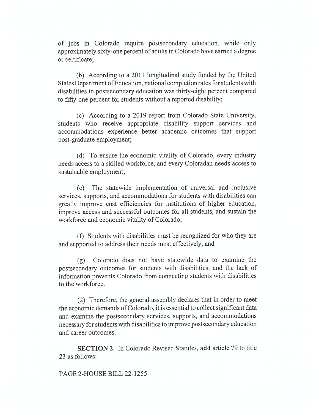of jobs in Colorado require postsecondary education, while only approximately sixty-one percent of adults in Colorado have earned a degree or certificate;

(b) According to a 2011 longitudinal study funded by the United States Department of Education, national completion rates for students with disabilities in postsecondary education was thirty-eight percent compared to fifty-one percent for students without a reported disability;

(c) According to a 2019 report from Colorado State University, students who receive appropriate disability support services and accommodations experience better academic outcomes that support post-graduate employment;

(d) To ensure the economic vitality of Colorado, every industry needs access to a skilled workforce, and every Coloradan needs access to sustainable employment;

(e) The statewide implementation of universal and inclusive services, supports, and accommodations for students with disabilities can greatly improve cost efficiencies for institutions of higher education, improve access and successful outcomes for all students, and sustain the workforce and economic vitality of Colorado;

(f) Students with disabilities must be recognized for who they are and supported to address their needs most effectively; and

(g) Colorado does not have statewide data to examine the postsecondary outcomes for students with disabilities, and the lack of information prevents Colorado from connecting students with disabilities to the workforce.

(2) Therefore, the general assembly declares that in order to meet the economic demands of Colorado, it is essential to collect significant data and examine the postsecondary services, supports, and accommodations necessary for students with disabilities to improve postsecondary education and career outcomes.

SECTION 2. In Colorado Revised Statutes, add article 79 to title 23 as follows:

## PAGE 2-HOUSE BILL 22-1255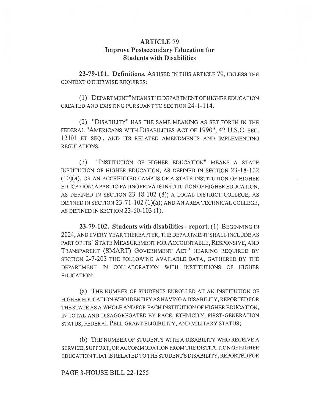## ARTICLE 79 Improve Postsecondary Education for Students with Disabilities

23-79-101. Definitions. AS USED IN THIS ARTICLE 79, UNLESS THE CONTEXT OTHERWISE REQUIRES:

(1) "DEPARTMENT" MEANS THE DEPARTMENT OF HIGHER EDUCATION CREATED AND EXISTING PURSUANT TO SECTION 24-1-114.

(2) "DISABILITY" HAS THE SAME MEANING AS SET FORTH IN THE FEDERAL "AMERICANS WITH DISABILITIES ACT OF 1990", 42 U.S.C. SEC. 12101 ET SEQ., AND ITS RELATED AMENDMENTS AND IMPLEMENTING REGULATIONS.

(3) "INSTITUTION OF HIGHER EDUCATION" MEANS A STATE INSTITUTION OF HIGHER EDUCATION, AS DEFINED IN SECTION 23-18-102 (10)(a), OR AN ACCREDITED CAMPUS OF A STATE INSTITUTION OF HIGHER EDUCATION; A PARTICIPATING PRIVATE INSTITUTION OF HIGHER EDUCATION, AS DEFINED IN SECTION 23-18-102 (8); A LOCAL DISTRICT COLLEGE, AS DEFINED IN SECTION 23-71-102 (1)(a); AND AN AREA TECHNICAL COLLEGE, AS DEFINED IN SECTION 23-60-103 (1).

23-79-102. Students with disabilities - report. (1) BEGINNING IN 2024, AND EVERY YEAR THEREAFTER, THE DEPARTMENT SHALL INCLUDE AS PART OF ITS "STATE MEASUREMENT FOR ACCOUNTABLE, RESPONSIVE, AND TRANSPARENT (SMART) GOVERNMENT ACT" HEARING REQUIRED BY SECTION 2-7-203 THE FOLLOWING AVAILABLE DATA, GATHERED BY THE DEPARTMENT IN COLLABORATION WITH INSTITUTIONS OF HIGHER EDUCATION:

(a) THE NUMBER OF STUDENTS ENROLLED AT AN INSTITUTION OF HIGHER EDUCATION WHO IDENTIFY AS HAVING A DISABILITY, REPORTED FOR THE STATE AS A WHOLE AND FOR EACH INSTITUTION OF HIGHER EDUCATION, IN TOTAL AND DISAGGREGATED BY RACE, ETHNICITY, FIRST-GENERATION STATUS, FEDERAL PELL GRANT ELIGIBILITY, AND MILITARY STATUS;

(b) THE NUMBER OF STUDENTS WITH A DISABILITY WHO RECEIVE A SERVICE, SUPPORT, OR ACCOMMODATION FROM THE INSTITUTION OF HIGHER EDUCATION THAT IS RELATED TO THE STUDENT'S DISABILITY, REPORTED FOR

## PAGE 3-HOUSE BILL 22-1255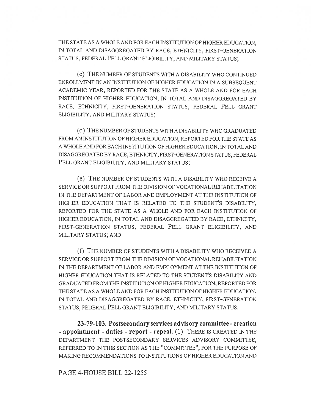THE STATE AS A WHOLE AND FOR EACH INSTITUTION OF HIGHER EDUCATION, IN TOTAL AND DISAGGREGATED BY RACE, ETHNICITY, FIRST-GENERATION STATUS, FEDERAL PELL GRANT ELIGIBILITY, AND MILITARY STATUS;

(c) THE NUMBER OF STUDENTS WITH A DISABILITY WHO CONTINUED ENROLLMENT IN AN INSTITUTION OF HIGHER EDUCATION IN A SUBSEQUENT ACADEMIC YEAR, REPORTED FOR THE STATE AS A WHOLE AND FOR EACH INSTITUTION OF HIGHER EDUCATION, IN TOTAL AND DISAGGREGATED BY RACE, ETHNICITY, FIRST-GENERATION STATUS, FEDERAL PELL GRANT ELIGIBILITY, AND MILITARY STATUS;

(d) THE NUMBER OF STUDENTS WITH A DISABILITY WHO GRADUATED FROM AN INSTITUTION OF HIGHER EDUCATION, REPORTED FOR THE STATE AS A WHOLE AND FOR EACH INSTITUTION OF HIGHER EDUCATION, IN TOTAL AND DISAGGREGATED BY RACE, ETHNICITY, FIRST-GENERATION STATUS, FEDERAL PELL GRANT ELIGIBILITY, AND MILITARY STATUS;

(e) THE NUMBER OF STUDENTS WITH A DISABILITY WHO RECEIVE A SERVICE OR SUPPORT FROM THE DIVISION OF VOCATIONAL REHABILITATION IN THE DEPARTMENT OF LABOR AND EMPLOYMENT AT THE INSTITUTION OF HIGHER EDUCATION THAT IS RELATED TO THE STUDENT'S DISABILITY, REPORTED FOR THE STATE AS A WHOLE AND FOR EACH INSTITUTION OF HIGHER EDUCATION, IN TOTAL AND DISAGGREGATED BY RACE, ETHNICITY, FIRST-GENERATION STATUS, FEDERAL PELL GRANT ELIGIBILITY, AND MILITARY STATUS; AND

(f) THE NUMBER OF STUDENTS WITH A DISABILITY WHO RECEIVED A SERVICE OR SUPPORT FROM THE DIVISION OF VOCATIONAL REHABILITATION IN THE DEPARTMENT OF LABOR AND EMPLOYMENT AT THE INSTITUTION OF HIGHER EDUCATION THAT IS RELATED TO THE STUDENT'S DISABILITY AND GRADUATED FROM THE INSTITUTION OF HIGHER EDUCATION, REPORTED FOR THE STATE AS A WHOLE AND FOR EACH INSTITUTION OF HIGHER EDUCATION, IN TOTAL AND DISAGGREGATED BY RACE, ETHNICITY, FIRST-GENERATION STATUS, FEDERAL PELL GRANT ELIGIBILITY, AND MILITARY STATUS.

23-79-103. Postsecondary services advisory committee - creation - appointment - duties - report - repeal. (1) THERE IS CREATED IN THE DEPARTMENT THE POSTSECONDARY SERVICES ADVISORY COMMITTEE, REFERRED TO IN THIS SECTION AS THE "COMMITTEE", FOR THE PURPOSE OF MAKING RECOMMENDATIONS TO INSTITUTIONS OF HIGHER EDUCATION AND

## PAGE 4-HOUSE BILL 22-1255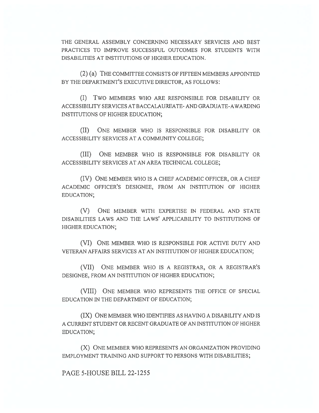THE GENERAL ASSEMBLY CONCERNING NECESSARY SERVICES AND BEST PRACTICES TO IMPROVE SUCCESSFUL OUTCOMES FOR STUDENTS WITH DISABILITIES AT INSTITUTIONS OF HIGHER EDUCATION.

(2) (a) THE COMMITTEE CONSISTS OF FIFTEEN MEMBERS APPOINTED BY THE DEPARTMENT'S EXECUTIVE DIRECTOR, AS FOLLOWS:

(I) Two MEMBERS WHO ARE RESPONSIBLE FOR DISABILITY OR ACCESSIBILITY SERVICES AT BACCALAUREATE- AND GRADUATE-AWARDING INSTITUTIONS OF HIGHER EDUCATION;

(II) ONE MEMBER WHO IS RESPONSIBLE FOR DISABILITY OR ACCESSIBILITY SERVICES AT A COMMUNITY COLLEGE;

(III) ONE MEMBER WHO IS RESPONSIBLE FOR DISABILITY OR ACCESSIBILITY SERVICES AT AN AREA TECHNICAL COLLEGE;

(IV) ONE MEMBER WHO IS A CHIEF ACADEMIC OFFICER, OR A CHIEF ACADEMIC OFFICER'S DESIGNEE, FROM AN INSTITUTION OF HIGHER EDUCATION;

(V) ONE MEMBER WITH EXPERTISE IN FEDERAL AND STATE DISABILITIES LAWS AND THE LAWS' APPLICABILITY TO INSTITUTIONS OF HIGHER EDUCATION;

(VI) ONE MEMBER WHO IS RESPONSIBLE FOR ACTIVE DUTY AND VETERAN AFFAIRS SERVICES AT AN INSTITUTION OF HIGHER EDUCATION;

(VII) ONE MEMBER WHO IS A REGISTRAR, OR A REGISTRAR'S DESIGNEE, FROM AN INSTITUTION OF HIGHER EDUCATION;

(VIII) ONE MEMBER WHO REPRESENTS THE OFFICE OF SPECIAL EDUCATION IN THE DEPARTMENT OF EDUCATION;

(IX) ONE MEMBER WHO IDENTIFIES AS HAVING A DISABILITY AND IS A CURRENT STUDENT OR RECENT GRADUATE OF AN INSTITUTION OF HIGHER EDUCATION;

(X) ONE MEMBER WHO REPRESENTS AN ORGANIZATION PROVIDING EMPLOYMENT TRAINING AND SUPPORT TO PERSONS WITH DISABILITIES;

PAGE 5-HOUSE BILL 22-1255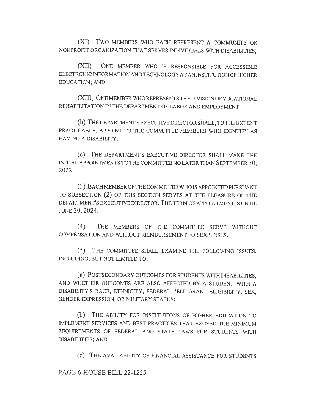(XI) Two MEMBERS WHO EACH REPRESENT A COMMUNITY OR NONPROFIT ORGANIZATION THAT SERVES INDIVIDUALS WITH DISABILITIES;

(XII) ONE MEMBER WHO IS RESPONSIBLE FOR ACCESSIBLE ELECTRONIC INFORMATION AND TECHNOLOGY AT AN INSTITUTION OF HIGHER EDUCATION; AND

(XIII) ONE MEMBER WHO REPRESENTS THE DIVISION OF VOCATIONAL REHABILITATION IN THE DEPARTMENT OF LABOR AND EMPLOYMENT.

(b) THE DEPARTMENT'S EXECUTIVE DIRECTOR SHALL, TO THE EXTENT PRACTICABLE, APPOINT TO THE COMMITTEE MEMBERS WHO IDENTIFY AS HAVING A DISABILITY.

(c) THE DEPARTMENT'S EXECUTIVE DIRECTOR SHALL MAKE THE INITIAL APPOINTMENTS TO THE COMMITTEE NO LATER THAN SEPTEMBER 30, 2022.

(3) EACH MEMBER OF THE COMMITTEE WHO IS APPOINTED PURSUANT TO SUBSECTION (2) OF THIS SECTION SERVES AT THE PLEASURE OF THE DEPARTMENT'S EXECUTIVE DIRECTOR. THE TERM OF APPOINTMENT IS UNTIL JUNE 30, 2024.

(4) THE MEMBERS OF THE COMMITTEE SERVE WITHOUT COMPENSATION AND WITHOUT REIMBURSEMENT FOR EXPENSES.

(5) THE COMMITTEE SHALL EXAMINE THE FOLLOWING ISSUES, INCLUDING, BUT NOT LIMITED TO:

(a) POSTSECONDARY OUTCOMES FOR STUDENTS WITH DISABILITIES, AND WHETHER OUTCOMES ARE ALSO AFFECTED BY A STUDENT WITH A DISABILITY'S RACE, ETHNICITY, FEDERAL PELL GRANT ELIGIBILITY, SEX, GENDER EXPRESSION, OR MILITARY STATUS;

(b) THE ABILITY FOR INSTITUTIONS OF HIGHER EDUCATION TO IMPLEMENT SERVICES AND BEST PRACTICES THAT EXCEED THE MINIMUM REQUIREMENTS OF FEDERAL AND STATE LAWS FOR STUDENTS WITH DISABILITIES; AND

(c) THE AVAILABILITY OF FINANCIAL ASSISTANCE FOR STUDENTS

PAGE 6-HOUSE BILL 22-1255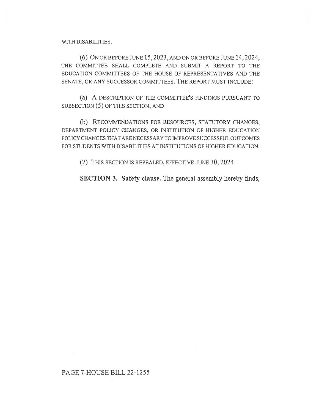WITH DISABILITIES.

(6) ON OR BEFORE JUNE 15, 2023, AND ON OR BEFORE JUNE 14, 2024, THE COMMITTEE SHALL COMPLETE AND SUBMIT A REPORT TO THE EDUCATION COMMITTEES OF THE HOUSE OF REPRESENTATIVES AND THE SENATE, OR ANY SUCCESSOR COMMITTEES. THE REPORT MUST INCLUDE:

(a) A DESCRIPTION OF THE COMMITTEE'S FINDINGS PURSUANT TO SUBSECTION (5) OF THIS SECTION; AND

(b) RECOMMENDATIONS FOR RESOURCES, STATUTORY CHANGES, DEPARTMENT POLICY CHANGES, OR INSTITUTION OF HIGHER EDUCATION POLICY CHANGES THAT ARE NECESSARY TO IMPROVE SUCCESSFUL OUTCOMES FOR STUDENTS WITH DISABILITIES AT INSTITUTIONS OF HIGHER EDUCATION.

(7) THIS SECTION IS REPEALED, EFFECTIVE JUNE 30, 2024.

SECTION 3. Safety clause. The general assembly hereby finds,